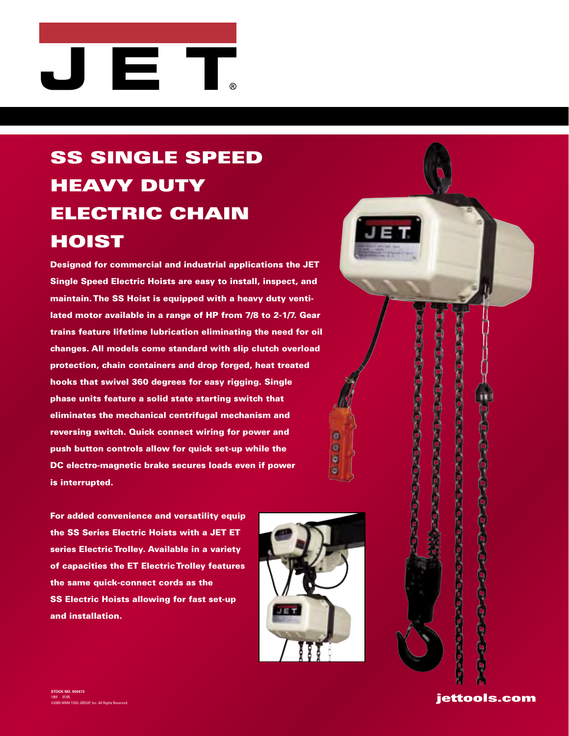## E. J

## SS SINGLE SPEED HEAVY DUTY ELECTRIC CHAIN HOIST

Designed for commercial and industrial applications the JET Single Speed Electric Hoists are easy to install, inspect, and maintain. The SS Hoist is equipped with a heavy duty ventilated motor available in a range of HP from 7/8 to 2-1/7. Gear trains feature lifetime lubrication eliminating the need for oil changes. All models come standard with slip clutch overload protection, chain containers and drop forged, heat treated hooks that swivel 360 degrees for easy rigging. Single phase units feature a solid state starting switch that eliminates the mechanical centrifugal mechanism and reversing switch. Quick connect wiring for power and push button controls allow for quick set-up while the DC electro-magnetic brake secures loads even if power is interrupted.

For added convenience and versatility equip the SS Series Electric Hoists with a JET ET series Electric Trolley. Available in a variety of capacities the ET Electric Trolley features the same quick-connect cords as the SS Electric Hoists allowing for fast set-up and installation.



 $\overline{a}$ ø ø  $\bullet$ 

> じっぽっぽっぽっぴつ jettools.com